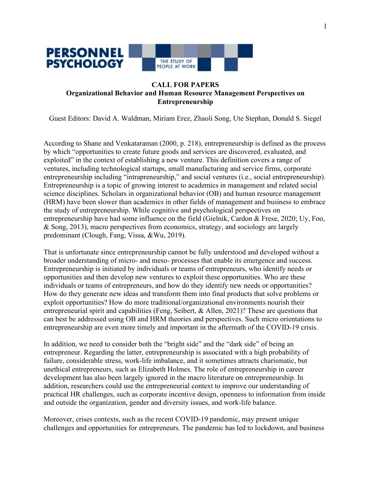

### **CALL FOR PAPERS Organizational Behavior and Human Resource Management Perspectives on Entrepreneurship**

Guest Editors: David A. Waldman, Miriam Erez, Zhaoli Song, Ute Stephan, Donald S. Siegel

According to Shane and Venkataraman (2000, p. 218), entrepreneurship is defined as the process by which "opportunities to create future goods and services are discovered, evaluated, and exploited" in the context of establishing a new venture. This definition covers a range of ventures, including technological startups, small manufacturing and service firms, corporate entrepreneurship including "intrapreneurship," and social ventures (i.e., social entrepreneurship). Entrepreneurship is a topic of growing interest to academics in management and related social science disciplines. Scholars in organizational behavior (OB) and human resource management (HRM) have been slower than academics in other fields of management and business to embrace the study of entrepreneurship. While cognitive and psychological perspectives on entrepreneurship have had some influence on the field (Gielnik, Cardon & Frese, 2020; Uy, Foo, & Song, 2013), macro perspectives from economics, strategy, and sociology are largely predominant (Clough, Fang, Vissa, &Wu, 2019).

That is unfortunate since entrepreneurship cannot be fully understood and developed without a broader understanding of micro- and meso- processes that enable its emergence and success. Entrepreneurship is initiated by individuals or teams of entrepreneurs, who identify needs or opportunities and then develop new ventures to exploit these opportunities. Who are these individuals or teams of entrepreneurs, and how do they identify new needs or opportunities? How do they generate new ideas and transform them into final products that solve problems or exploit opportunities? How do more traditional/organizational environments nourish their entrepreneurial spirit and capabilities (Feng, Seibert, & Allen, 2021)? These are questions that can best be addressed using OB and HRM theories and perspectives. Such micro orientations to entrepreneurship are even more timely and important in the aftermath of the COVID-19 crisis.

In addition, we need to consider both the "bright side" and the "dark side" of being an entrepreneur. Regarding the latter, entrepreneurship is associated with a high probability of failure, considerable stress, work-life imbalance, and it sometimes attracts charismatic, but unethical entrepreneurs, such as Elizabeth Holmes. The role of entrepreneurship in career development has also been largely ignored in the macro literature on entrepreneurship. In addition, researchers could use the entrepreneurial context to improve our understanding of practical HR challenges, such as corporate incentive design, openness to information from inside and outside the organization, gender and diversity issues, and work-life balance.

Moreover, crises contexts, such as the recent COVID-19 pandemic, may present unique challenges and opportunities for entrepreneurs. The pandemic has led to lockdown, and business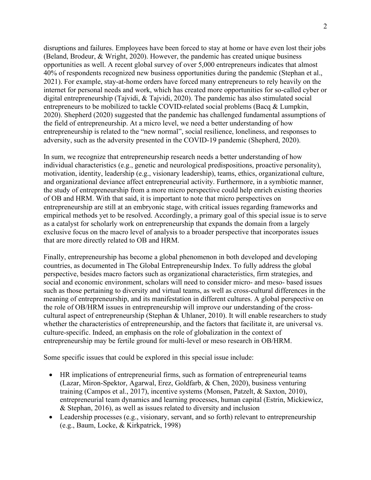disruptions and failures. Employees have been forced to stay at home or have even lost their jobs (Beland, Brodeur, & Wright, 2020). However, the pandemic has created unique business opportunities as well. A recent global survey of over 5,000 entrepreneurs indicates that almost 40% of respondents recognized new business opportunities during the pandemic (Stephan et al., 2021). For example, stay-at-home orders have forced many entrepreneurs to rely heavily on the internet for personal needs and work, which has created more opportunities for so-called cyber or digital entrepreneurship (Tajvidi, & Tajvidi, 2020). The pandemic has also stimulated social entrepreneurs to be mobilized to tackle COVID-related social problems (Bacq & Lumpkin, 2020). Shepherd (2020) suggested that the pandemic has challenged fundamental assumptions of the field of entrepreneurship. At a micro level, we need a better understanding of how entrepreneurship is related to the "new normal", social resilience, loneliness, and responses to adversity, such as the adversity presented in the COVID-19 pandemic (Shepherd, 2020).

In sum, we recognize that entrepreneurship research needs a better understanding of how individual characteristics (e.g., genetic and neurological predispositions, proactive personality), motivation, identity, leadership (e.g., visionary leadership), teams, ethics, organizational culture, and organizational deviance affect entrepreneurial activity. Furthermore, in a symbiotic manner, the study of entrepreneurship from a more micro perspective could help enrich existing theories of OB and HRM. With that said, it is important to note that micro perspectives on entrepreneurship are still at an embryonic stage, with critical issues regarding frameworks and empirical methods yet to be resolved. Accordingly, a primary goal of this special issue is to serve as a catalyst for scholarly work on entrepreneurship that expands the domain from a largely exclusive focus on the macro level of analysis to a broader perspective that incorporates issues that are more directly related to OB and HRM.

Finally, entrepreneurship has become a global phenomenon in both developed and developing countries, as documented in The Global Entrepreneurship Index. To fully address the global perspective, besides macro factors such as organizational characteristics, firm strategies, and social and economic environment, scholars will need to consider micro- and meso- based issues such as those pertaining to diversity and virtual teams, as well as cross-cultural differences in the meaning of entrepreneurship, and its manifestation in different cultures. A global perspective on the role of OB/HRM issues in entrepreneurship will improve our understanding of the crosscultural aspect of entrepreneurship (Stephan & Uhlaner, 2010). It will enable researchers to study whether the characteristics of entrepreneurship, and the factors that facilitate it, are universal vs. culture-specific. Indeed, an emphasis on the role of globalization in the context of entrepreneurship may be fertile ground for multi-level or meso research in OB/HRM.

Some specific issues that could be explored in this special issue include:

- HR implications of entrepreneurial firms, such as formation of entrepreneurial teams (Lazar, Miron-Spektor, Agarwal, Erez, Goldfarb, & Chen, 2020), business venturing training (Campos et al., 2017), incentive systems (Monsen, Patzelt, & Saxton, 2010), entrepreneurial team dynamics and learning processes, human capital (Estrin, Mickiewicz, & Stephan, 2016), as well as issues related to diversity and inclusion
- Leadership processes (e.g., visionary, servant, and so forth) relevant to entrepreneurship (e.g., Baum, Locke, & Kirkpatrick, 1998)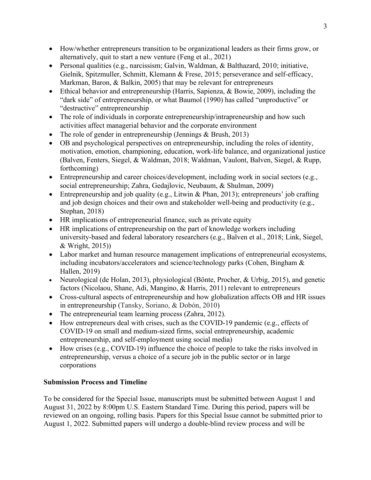- How/whether entrepreneurs transition to be organizational leaders as their firms grow, or alternatively, quit to start a new venture [\(Feng](https://onlinelibrary.wiley.com/action/doSearch?ContribAuthorStored=Feng%2C+Jie) et al., 2021)
- Personal qualities (e.g., narcissism; Galvin, Waldman, & Balthazard, 2010; initiative, [Gielnik, Spitzmuller, Schmitt, Klemann](https://journals.aom.org/doi/abs/10.5465/amj.2011.0727) & Frese, 2015; perseverance and self-efficacy, Markman, Baron, & Balkin, 2005) that may be relevant for entrepreneurs
- Ethical behavior and entrepreneurship [\(Harris, Sapienza, &](https://www.sciencedirect.com/science/article/abs/pii/S0883902609000597#!) Bowie, 2009), including the "dark side" of entrepreneurship, or what Baumol (1990) has called "unproductive" or "destructive" entrepreneurship
- The role of individuals in corporate entrepreneurship/intrapreneurship and how such activities affect managerial behavior and the corporate environment
- The role of gender in entrepreneurship (Jennings & Brush, 2013)
- OB and psychological perspectives on entrepreneurship, including the roles of identity, motivation, emotion, championing, education, work-life balance, and organizational justice (Balven, Fenters, Siegel, & Waldman, 2018; Waldman, Vaulont, Balven, Siegel, & Rupp, forthcoming)
- Entrepreneurship and career choices/development, including work in social sectors (e.g., social entrepreneurship; Zahra, Gedajlovic, Neubaum, & Shulman, 2009)
- Entrepreneurship and job quality (e.g., Litwin & Phan, 2013); entrepreneurs' job crafting and job design choices and their own and stakeholder well-being and productivity (e.g., Stephan, 2018)
- HR implications of entrepreneurial finance, such as private equity
- HR implications of entrepreneurship on the part of knowledge workers including university-based and federal laboratory researchers (e.g., Balven et al., 2018; Link, Siegel, & Wright, 2015))
- Labor market and human resource management implications of entrepreneurial ecosystems, including incubators/accelerators and science/technology parks (Cohen, Bingham & Hallen, 2019)
- Neurological (de Holan, 2013), physiological (Bönte, Procher, & Urbig, 2015), and genetic factors (Nicolaou, Shane, Adi, Mangino, & Harris, 2011) relevant to entrepreneurs
- Cross-cultural aspects of entrepreneurship and how globalization affects OB and HR issues in entrepreneurship (Tansky, Soriano, & Dobón, 2010)
- The entrepreneurial team learning process (Zahra, 2012).
- How entrepreneurs deal with crises, such as the COVID-19 pandemic (e.g., effects of COVID-19 on small and medium-sized firms, social entrepreneurship, academic entrepreneurship, and self-employment using social media)
- How crises (e.g., COVID-19) influence the choice of people to take the risks involved in entrepreneurship, versus a choice of a secure job in the public sector or in large corporations

# **Submission Process and Timeline**

To be considered for the Special Issue, manuscripts must be submitted between August 1 and August 31, 2022 by 8:00pm U.S. Eastern Standard Time. During this period, papers will be reviewed on an ongoing, rolling basis. Papers for this Special Issue cannot be submitted prior to August 1, 2022. Submitted papers will undergo a double-blind review process and will be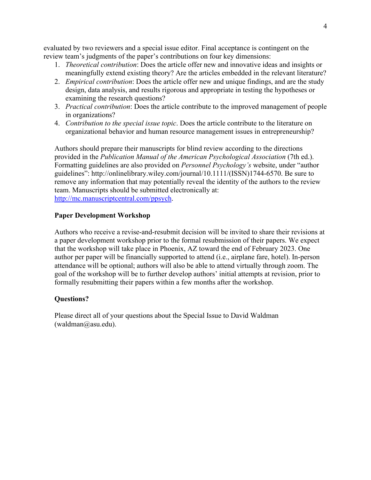evaluated by two reviewers and a special issue editor. Final acceptance is contingent on the review team's judgments of the paper's contributions on four key dimensions:

- 1. *Theoretical contribution*: Does the article offer new and innovative ideas and insights or meaningfully extend existing theory? Are the articles embedded in the relevant literature?
- 2. *Empirical contribution*: Does the article offer new and unique findings, and are the study design, data analysis, and results rigorous and appropriate in testing the hypotheses or examining the research questions?
- 3. *Practical contribution*: Does the article contribute to the improved management of people in organizations?
- 4. *Contribution to the special issue topic*. Does the article contribute to the literature on organizational behavior and human resource management issues in entrepreneurship?

Authors should prepare their manuscripts for blind review according to the directions provided in the *Publication Manual of the American Psychological Association* (7th ed.). Formatting guidelines are also provided on *Personnel Psychology's* website, under "author guidelines": http://onlinelibrary.wiley.com/journal/10.1111/(ISSN)1744-6570. Be sure to remove any information that may potentially reveal the identity of the authors to the review team. Manuscripts should be submitted electronically at: [http://mc.manuscriptcentral.com/ppsych.](http://mc.manuscriptcentral.com/ppsych)

#### **Paper Development Workshop**

Authors who receive a revise-and-resubmit decision will be invited to share their revisions at a paper development workshop prior to the formal resubmission of their papers. We expect that the workshop will take place in Phoenix, AZ toward the end of February 2023. One author per paper will be financially supported to attend (i.e., airplane fare, hotel). In-person attendance will be optional; authors will also be able to attend virtually through zoom. The goal of the workshop will be to further develop authors' initial attempts at revision, prior to formally resubmitting their papers within a few months after the workshop.

## **Questions?**

Please direct all of your questions about the Special Issue to David Waldman (waldman@asu.edu).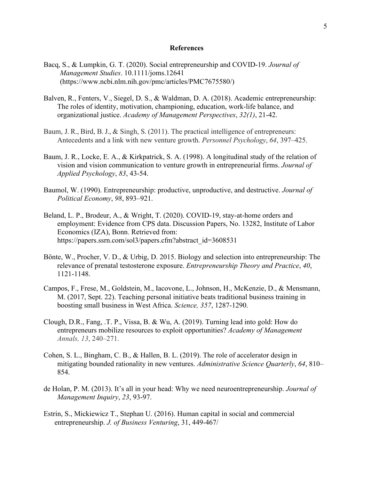#### **References**

- Bacq, S., & Lumpkin, G. T. (2020). Social entrepreneurship and COVID‐19. *Journal of Management Studies*. 10.1111/joms.12641 (https://www.ncbi.nlm.nih.gov/pmc/articles/PMC7675580/)
- Balven, R., Fenters, V., Siegel, D. S., & Waldman, D. A. (2018). Academic entrepreneurship: The roles of identity, motivation, championing, education, work-life balance, and organizational justice. *Academy of Management Perspectives*, *32(1)*, 21-42.
- Baum, J. R., Bird, B. J., & Singh, S. (2011). The practical intelligence of entrepreneurs: Antecedents and a link with new venture growth. *Personnel Psychology*, *64*, 397–425.
- Baum, J. R., Locke, E. A., & Kirkpatrick, S. A. (1998). A longitudinal study of the relation of vision and vision communication to venture growth in entrepreneurial firms. *Journal of Applied Psychology*, *83*, 43-54.
- Baumol, W. (1990). Entrepreneurship: productive, unproductive, and destructive. *Journal of Political Economy*, *98*, 893–921.
- Beland, L. P., Brodeur, A., & Wright, T. (2020). COVID-19, stay-at-home orders and employment: Evidence from CPS data. Discussion Papers, No. 13282, Institute of Labor Economics (IZA), Bonn. Retrieved from: https://papers.ssrn.com/sol3/papers.cfm?abstract\_id=3608531
- Bönte, W., Procher, V. D., & Urbig, D. 2015. Biology and selection into entrepreneurship: The relevance of prenatal testosterone exposure. *Entrepreneurship Theory and Practice*, *40*, 1121-1148.
- Campos, F., Frese, M., Goldstein, M., Iacovone, L., Johnson, H., McKenzie, D., & Mensmann, M. (2017, Sept. 22). Teaching personal initiative beats traditional business training in boosting small business in West Africa. *Science, 357*, 1287-1290.
- Clough, D.R., Fang, .T. P., Vissa, B. & Wu, A. (2019). Turning lead into gold: How do entrepreneurs mobilize resources to exploit opportunities? *Academy of Management Annals, 13*, 240–271.
- Cohen, S. L., Bingham, C. B., & Hallen, B. L. (2019). The role of accelerator design in mitigating bounded rationality in new ventures. *Administrative Science Quarterly*, *64*, 810– 854.
- de Holan, P. M. (2013). It's all in your head: Why we need neuroentrepreneurship. *Journal of Management Inquiry*, *23*, 93-97.
- Estrin, S., Mickiewicz T., Stephan U. (2016). Human capital in social and commercial entrepreneurship. *J. of Business Venturing*, 31, 449-467/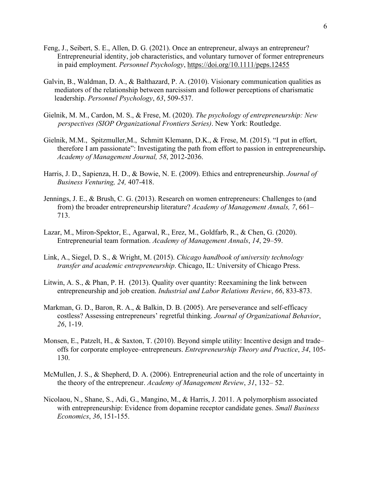- Feng, J., Seibert, S. E., Allen, D. G. (2021). Once an entrepreneur, always an entrepreneur? Entrepreneurial identity, job characteristics, and voluntary turnover of former entrepreneurs in paid employment. *Personnel Psychology*,<https://doi.org/10.1111/peps.12455>
- Galvin, B., Waldman, D. A., & Balthazard, P. A. (2010). Visionary communication qualities as mediators of the relationship between narcissism and follower perceptions of charismatic leadership. *Personnel Psychology*, *63*, 509-537.
- Gielnik, M. M., Cardon, M. S., & Frese, M. (2020). *The psychology of entrepreneurship: New perspectives (SIOP Organizational Frontiers Series)*. New York: Routledge.
- Gielnik, M[.M., Spitzmuller,](https://journals.aom.org/doi/abs/10.5465/amj.2011.0727)M., [Schmitt](https://journals.aom.org/doi/abs/10.5465/amj.2011.0727) [Klemann, D.K., & Frese, M. \(2015\).](https://journals.aom.org/doi/abs/10.5465/amj.2011.0727) "I put in effort, [therefore I am passionate": Investigating the path from](https://journals.aom.org/doi/abs/10.5465/amj.2011.0727) effort to passion in entrepreneurship**.**  *Academy of Management Journal, 58*, 2012-2036.
- [Harris, J.](https://www.sciencedirect.com/science/article/abs/pii/S0883902609000597#!) D., [Sapienza, H. D.,](https://www.sciencedirect.com/science/article/abs/pii/S0883902609000597#!) & Bowie, N. E. (2009). [Ethics and entrepreneurship.](https://www.sciencedirect.com/science/article/abs/pii/S0883902609000597#!) *[J](https://www.sciencedirect.com/science/article/abs/pii/S0883902609000597#!)ournal of Business Venturing, 24,* 407-418.
- Jennings, J. E., & Brush, C. G. (2013). Research on women entrepreneurs: Challenges to (and from) the broader entrepreneurship literature? *Academy of Management Annals, 7*, 661– 713.
- Lazar, M., Miron-Spektor, E., Agarwal, R., Erez, M., Goldfarb, R., & Chen, G. (2020). Entrepreneurial team formation. *Academy of Management Annals*, *14*, 29–59.
- Link, A., Siegel, D. S., & Wright, M. (2015). *Chicago handbook of university technology transfer and academic entrepreneurship*. Chicago, IL: University of Chicago Press.
- Litwin, A. S., & Phan, P. H. (2013). Quality over quantity: Reexamining the link between entrepreneurship and job creation. *Industrial and Labor Relations Review*, *66*, 833-873.
- Markman, G. D., Baron, R. A., & Balkin, D. B. (2005). Are perseverance and self-efficacy costless? Assessing entrepreneurs' regretful thinking. *Journal of Organizational Behavior*, *26*, 1-19.
- Monsen, E., Patzelt, H., & Saxton, T. (2010). Beyond simple utility: Incentive design and trade– offs for corporate employee–entrepreneurs. *Entrepreneurship Theory and Practice*, *34*, 105- 130.
- McMullen, J. S., & Shepherd, D. A. (2006). Entrepreneurial action and the role of uncertainty in the theory of the entrepreneur. *Academy of Management Review*, *31*, 132– 52.
- Nicolaou, N., Shane, S., Adi, G., Mangino, M., & Harris, J. 2011. A polymorphism associated with entrepreneurship: Evidence from dopamine receptor candidate genes. *Small Business Economics*, *36*, 151-155.